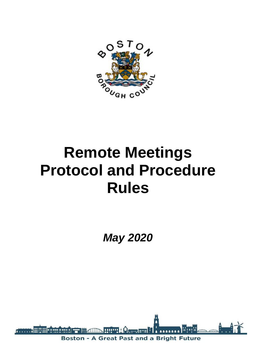

# **Remote Meetings Protocol and Procedure Rules**

*May 2020*

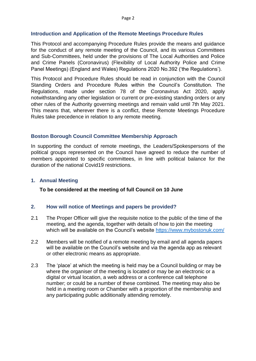#### **Introduction and Application of the Remote Meetings Procedure Rules**

This Protocol and accompanying Procedure Rules provide the means and guidance for the conduct of any remote meeting of the Council, and its various Committees and Sub-Committees, held under the provisions of The Local Authorities and Police and Crime Panels (Coronavirus) (Flexibility of Local Authority Police and Crime Panel Meetings) (England and Wales) Regulations 2020 No.392 ('the Regulations').

This Protocol and Procedure Rules should be read in conjunction with the Council Standing Orders and Procedure Rules within the Council's Constitution*.* The Regulations, made under section 78 of the Coronavirus Act 2020, apply notwithstanding any other legislation or current or pre-existing standing orders or any other rules of the Authority governing meetings and remain valid until 7th May 2021. This means that, wherever there is a conflict, these Remote Meetings Procedure Rules take precedence in relation to any remote meeting.

## **Boston Borough Council Committee Membership Approach**

In supporting the conduct of remote meetings, the Leaders/Spokespersons of the political groups represented on the Council have agreed to reduce the number of members appointed to specific committees, in line with political balance for the duration of the national Covid19 restrictions.

### **1. Annual Meeting**

**To be considered at the meeting of full Council on 10 June**

#### **2. How will notice of Meetings and papers be provided?**

- 2.1 The Proper Officer will give the requisite notice to the public of the time of the meeting, and the agenda, together with details of how to join the meeting which will be available on the Council's website <https://www.mybostonuk.com/>
- 2.2 Members will be notified of a remote meeting by email and all agenda papers will be available on the Council's website and via the agenda app as relevant or other electronic means as appropriate.
- 2.3 The 'place' at which the meeting is held may be a Council building or may be where the organiser of the meeting is located or may be an electronic or a digital or virtual location, a web address or a conference call telephone number; or could be a number of these combined. The meeting may also be held in a meeting room or Chamber with a proportion of the membership and any participating public additionally attending remotely.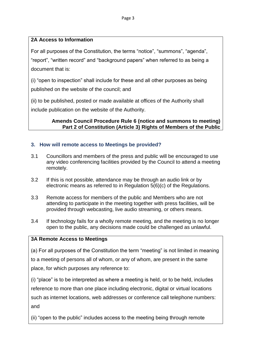# **2A Access to Information**

For all purposes of the Constitution, the terms "notice", "summons", "agenda", "report", "written record" and "background papers" when referred to as being a document that is:

(i) "open to inspection" shall include for these and all other purposes as being published on the website of the council; and

(ii) to be published, posted or made available at offices of the Authority shall include publication on the website of the Authority.

# **Amends Council Procedure Rule 6 (notice and summons to meeting) Part 2 of Constitution (Article 3) Rights of Members of the Public**

# **3. How will remote access to Meetings be provided?**

- 3.1 Councillors and members of the press and public will be encouraged to use any video conferencing facilities provided by the Council to attend a meeting remotely.
- 3.2 If this is not possible, attendance may be through an audio link or by electronic means as referred to in Regulation 5(6)(c) of the Regulations.
- 3.3 Remote access for members of the public and Members who are not attending to participate in the meeting together with press facilities, will be provided through webcasting, live audio streaming, or others means.
- 3.4 If technology fails for a wholly remote meeting, and the meeting is no longer open to the public, any decisions made could be challenged as unlawful.

# **3A Remote Access to Meetings**

(a) For all purposes of the Constitution the term "meeting" is not limited in meaning to a meeting of persons all of whom, or any of whom, are present in the same place, for which purposes any reference to:

(i) "place" is to be interpreted as where a meeting is held, or to be held, includes reference to more than one place including electronic, digital or virtual locations such as internet locations, web addresses or conference call telephone numbers: and

(ii) "open to the public" includes access to the meeting being through remote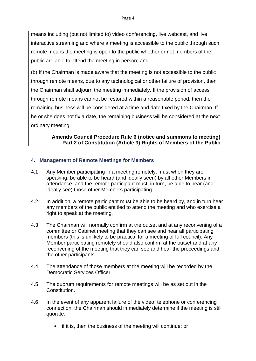means including (but not limited to) video conferencing, live webcast, and live interactive streaming and where a meeting is accessible to the public through such remote means the meeting is open to the public whether or not members of the public are able to attend the meeting in person; and

(b) If the Chairman is made aware that the meeting is not accessible to the public through remote means, due to any technological or other failure of provision, then the Chairman shall adjourn the meeting immediately. If the provision of access through remote means cannot be restored within a reasonable period, then the remaining business will be considered at a time and date fixed by the Chairman. If he or she does not fix a date, the remaining business will be considered at the next ordinary meeting.

## **Amends Council Procedure Rule 6 (notice and summons to meeting) Part 2 of Constitution (Article 3) Rights of Members of the Public**

## **4. Management of Remote Meetings for Members**

- 4.1 Any Member participating in a meeting remotely, must when they are speaking, be able to be heard (and ideally seen) by all other Members in attendance, and the remote participant must, in turn, be able to hear (and ideally see) those other Members participating.
- 4.2 In addition, a remote participant must be able to be heard by, and in turn hear any members of the public entitled to attend the meeting and who exercise a right to speak at the meeting.
- 4.3 The Chairman will normally confirm at the outset and at any reconvening of a committee or Cabinet meeting that they can see and hear all participating members (this is unlikely to be practical for a meeting of full council). Any Member participating remotely should also confirm at the outset and at any reconvening of the meeting that they can see and hear the proceedings and the other participants.
- 4.4 The attendance of those members at the meeting will be recorded by the Democratic Services Officer.
- 4.5 The quorum requirements for remote meetings will be as set out in the **Constitution**
- 4.6 In the event of any apparent failure of the video, telephone or conferencing connection, the Chairman should immediately determine if the meeting is still quorate:
	- if it is, then the business of the meeting will continue; or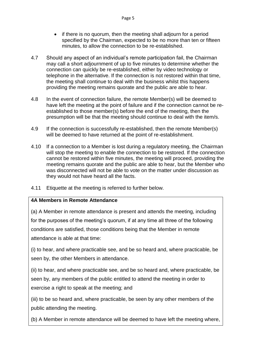- if there is no quorum, then the meeting shall adjourn for a period specified by the Chairman, expected to be no more than ten or fifteen minutes, to allow the connection to be re-established.
- 4.7 Should any aspect of an individual's remote participation fail, the Chairman may call a short adjournment of up to five minutes to determine whether the connection can quickly be re-established, either by video technology or telephone in the alternative. If the connection is not restored within that time, the meeting shall continue to deal with the business whilst this happens providing the meeting remains quorate and the public are able to hear.
- 4.8 In the event of connection failure, the remote Member(s) will be deemed to have left the meeting at the point of failure and if the connection cannot be reestablished to those member(s) before the end of the meeting, then the presumption will be that the meeting should continue to deal with the item/s.
- 4.9 If the connection is successfully re-established, then the remote Member(s) will be deemed to have returned at the point of re-establishment.
- 4.10 If a connection to a Member is lost during a regulatory meeting, the Chairman will stop the meeting to enable the connection to be restored. If the connection cannot be restored within five minutes, the meeting will proceed, providing the meeting remains quorate and the public are able to hear, but the Member who was disconnected will not be able to vote on the matter under discussion as they would not have heard all the facts.
- 4.11 Etiquette at the meeting is referred to further below.

# **4A Members in Remote Attendance**

(a) A Member in remote attendance is present and attends the meeting, including for the purposes of the meeting's quorum, if at any time all three of the following conditions are satisfied, those conditions being that the Member in remote attendance is able at that time:

(i) to hear, and where practicable see, and be so heard and, where practicable, be seen by, the other Members in attendance.

(ii) to hear, and where practicable see, and be so heard and, where practicable, be seen by, any members of the public entitled to attend the meeting in order to exercise a right to speak at the meeting; and

(iii) to be so heard and, where practicable, be seen by any other members of the public attending the meeting.

(b) A Member in remote attendance will be deemed to have left the meeting where,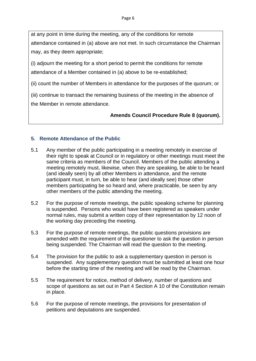at any point in time during the meeting, any of the conditions for remote attendance contained in (a) above are not met. In such circumstance the Chairman may, as they deem appropriate;

(i) adjourn the meeting for a short period to permit the conditions for remote attendance of a Member contained in (a) above to be re-established;

(ii) count the number of Members in attendance for the purposes of the quorum; or

(iii) continue to transact the remaining business of the meeting in the absence of the Member in remote attendance.

# **Amends Council Procedure Rule 8 (quorum).**

# **5. Remote Attendance of the Public**

- 5.1 Any member of the public participating in a meeting remotely in exercise of their right to speak at Council or in regulatory or other meetings must meet the same criteria as members of the Council. Members of the public attending a meeting remotely must, likewise, when they are speaking, be able to be heard (and ideally seen) by all other Members in attendance, and the remote participant must, in turn, be able to hear (and ideally see) those other members participating be so heard and, where practicable, be seen by any other members of the public attending the meeting.
- 5.2 For the purpose of remote meetings, the public speaking scheme for planning is suspended. Persons who would have been registered as speakers under normal rules, may submit a written copy of their representation by 12 noon of the working day preceding the meeting.
- 5.3 For the purpose of remote meetings, the public questions provisions are amended with the requirement of the questioner to ask the question in person being suspended. The Chairman will read the question to the meeting.
- 5.4 The provision for the public to ask a supplementary question in person is suspended. Any supplementary question must be submitted at least one hour before the starting time of the meeting and will be read by the Chairman.
- 5.5 The requirement for notice, method of delivery, number of questions and scope of questions as set out in Part 4 Section A 10 of the Constitution remain in place.
- 5.6 For the purpose of remote meetings, the provisions for presentation of petitions and deputations are suspended.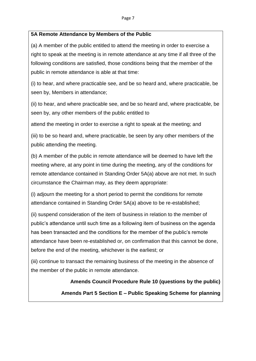## **5A Remote Attendance by Members of the Public**

(a) A member of the public entitled to attend the meeting in order to exercise a right to speak at the meeting is in remote attendance at any time if all three of the following conditions are satisfied, those conditions being that the member of the public in remote attendance is able at that time:

(i) to hear, and where practicable see, and be so heard and, where practicable, be seen by, Members in attendance;

(ii) to hear, and where practicable see, and be so heard and, where practicable, be seen by, any other members of the public entitled to

attend the meeting in order to exercise a right to speak at the meeting; and

(iii) to be so heard and, where practicable, be seen by any other members of the public attending the meeting.

(b) A member of the public in remote attendance will be deemed to have left the meeting where, at any point in time during the meeting, any of the conditions for remote attendance contained in Standing Order 5A(a) above are not met. In such circumstance the Chairman may, as they deem appropriate:

(i) adjourn the meeting for a short period to permit the conditions for remote attendance contained in Standing Order 5A(a) above to be re-established;

(ii) suspend consideration of the item of business in relation to the member of public's attendance until such time as a following item of business on the agenda has been transacted and the conditions for the member of the public's remote attendance have been re-established or, on confirmation that this cannot be done, before the end of the meeting, whichever is the earliest; or

(iii) continue to transact the remaining business of the meeting in the absence of the member of the public in remote attendance.

> **Amends Council Procedure Rule 10 (questions by the public) Amends Part 5 Section E – Public Speaking Scheme for planning**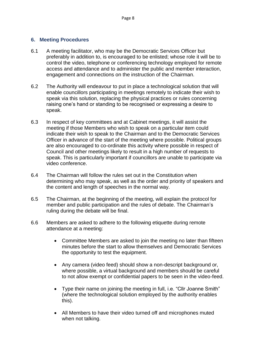## **6. Meeting Procedures**

- 6.1 A meeting facilitator, who may be the Democratic Services Officer but preferably in addition to, is encouraged to be enlisted; whose role it will be to control the video, telephone or conferencing technology employed for remote access and attendance and to administer the public and member interaction, engagement and connections on the instruction of the Chairman.
- 6.2 The Authority will endeavour to put in place a technological solution that will enable councillors participating in meetings remotely to indicate their wish to speak via this solution, replacing the physical practices or rules concerning raising one's hand or standing to be recognised or expressing a desire to speak.
- 6.3 In respect of key committees and at Cabinet meetings, it will assist the meeting if those Members who wish to speak on a particular item could indicate their wish to speak to the Chairman and to the Democratic Services Officer in advance of the start of the meeting where possible. Political groups are also encouraged to co-ordinate this activity where possible in respect of Council and other meetings likely to result in a high number of requests to speak. This is particularly important if councillors are unable to participate via video conference.
- 6.4 The Chairman will follow the rules set out in the Constitution when determining who may speak, as well as the order and priority of speakers and the content and length of speeches in the normal way.
- 6.5 The Chairman, at the beginning of the meeting, will explain the protocol for member and public participation and the rules of debate. The Chairman's ruling during the debate will be final.
- 6.6 Members are asked to adhere to the following etiquette during remote attendance at a meeting:
	- Committee Members are asked to join the meeting no later than fifteen minutes before the start to allow themselves and Democratic Services the opportunity to test the equipment.
	- Any camera (video feed) should show a non-descript background or, where possible, a virtual background and members should be careful to not allow exempt or confidential papers to be seen in the video-feed.
	- Type their name on joining the meeting in full, i.e. "Cllr Joanne Smith" (where the technological solution employed by the authority enables this).
	- All Members to have their video turned off and microphones muted when not talking.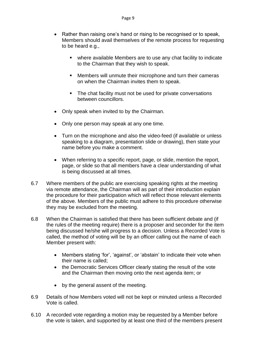- Rather than raising one's hand or rising to be recognised or to speak, Members should avail themselves of the remote process for requesting to be heard e.g.,
	- where available Members are to use any chat facility to indicate to the Chairman that they wish to speak.
	- Members will unmute their microphone and turn their cameras on when the Chairman invites them to speak.
	- The chat facility must not be used for private conversations between councillors.
- Only speak when invited to by the Chairman.
- Only one person may speak at any one time.
- Turn on the microphone and also the video-feed (if available or unless speaking to a diagram, presentation slide or drawing), then state your name before you make a comment.
- When referring to a specific report, page, or slide, mention the report, page, or slide so that all members have a clear understanding of what is being discussed at all times.
- 6.7 Where members of the public are exercising speaking rights at the meeting via remote attendance, the Chairman will as part of their introduction explain the procedure for their participation which will reflect those relevant elements of the above. Members of the public must adhere to this procedure otherwise they may be excluded from the meeting.
- 6.8 When the Chairman is satisfied that there has been sufficient debate and (if the rules of the meeting require) there is a proposer and seconder for the item being discussed he/she will progress to a decision. Unless a Recorded Vote is called, the method of voting will be by an officer calling out the name of each Member present with:
	- Members stating 'for', 'against', or 'abstain' to indicate their vote when their name is called;
	- the Democratic Services Officer clearly stating the result of the vote and the Chairman then moving onto the next agenda item; or
	- by the general assent of the meeting.
- 6.9 Details of how Members voted will not be kept or minuted unless a Recorded Vote is called.
- 6.10 A recorded vote regarding a motion may be requested by a Member before the vote is taken, and supported by at least one third of the members present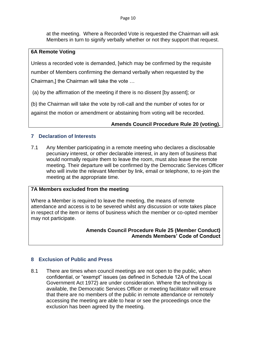at the meeting. Where a Recorded Vote is requested the Chairman will ask Members in turn to signify verbally whether or not they support that request.

## **6A Remote Voting**

Unless a recorded vote is demanded, [which may be confirmed by the requisite number of Members confirming the demand verbally when requested by the Chairman,] the Chairman will take the vote …

(a) by the affirmation of the meeting if there is no dissent [by assent]; or

(b) the Chairman will take the vote by roll-call and the number of votes for or

against the motion or amendment or abstaining from voting will be recorded.

# **Amends Council Procedure Rule 20 (voting).**

# **7 Declaration of Interests**

7.1 Any Member participating in a remote meeting who declares a disclosable pecuniary interest, or other declarable interest, in any item of business that would normally require them to leave the room, must also leave the remote meeting. Their departure will be confirmed by the Democratic Services Officer who will invite the relevant Member by link, email or telephone, to re-join the meeting at the appropriate time.

# **7A Members excluded from the meeting**

Where a Member is required to leave the meeting, the means of remote attendance and access is to be severed whilst any discussion or vote takes place in respect of the item or items of business which the member or co-opted member may not participate.

## **Amends Council Procedure Rule 25 (Member Conduct) Amends Members' Code of Conduct**

# **8 Exclusion of Public and Press**

8.1 There are times when council meetings are not open to the public, when confidential, or "exempt" issues (as defined in Schedule 12A of the Local Government Act 1972) are under consideration. Where the technology is available, the Democratic Services Officer or meeting facilitator will ensure that there are no members of the public in remote attendance or remotely accessing the meeting are able to hear or see the proceedings once the exclusion has been agreed by the meeting.